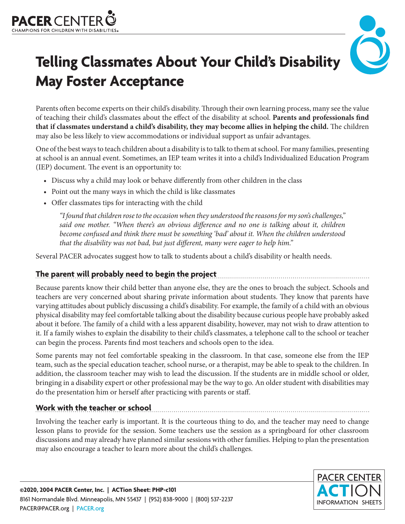



# **Telling Classmates About Your Child's Disability May Foster Acceptance**

Parents often become experts on their child's disability. Through their own learning process, many see the value of teaching their child's classmates about the effect of the disability at school. **Parents and professionals find that if classmates understand a child's disability, they may become allies in helping the child.** The children may also be less likely to view accommodations or individual support as unfair advantages.

One of the best ways to teach children about a disability is to talk to them at school. For many families, presenting at school is an annual event. Sometimes, an IEP team writes it into a child's Individualized Education Program (IEP) document. The event is an opportunity to:

- Discuss why a child may look or behave differently from other children in the class
- Point out the many ways in which the child is like classmates
- Offer classmates tips for interacting with the child

*"I found that children rose to the occasion when they understood the reasons for my son's challenges," said one mother. "When there's an obvious difference and no one is talking about it, children become confused and think there must be something 'bad' about it. When the children understood that the disability was not bad, but just different, many were eager to help him."*

Several PACER advocates suggest how to talk to students about a child's disability or health needs.

### **The parent will probably need to begin the project**

Because parents know their child better than anyone else, they are the ones to broach the subject. Schools and teachers are very concerned about sharing private information about students. They know that parents have varying attitudes about publicly discussing a child's disability. For example, the family of a child with an obvious physical disability may feel comfortable talking about the disability because curious people have probably asked about it before. The family of a child with a less apparent disability, however, may not wish to draw attention to it. If a family wishes to explain the disability to their child's classmates, a telephone call to the school or teacher can begin the process. Parents find most teachers and schools open to the idea.

Some parents may not feel comfortable speaking in the classroom. In that case, someone else from the IEP team, such as the special education teacher, school nurse, or a therapist, may be able to speak to the children. In addition, the classroom teacher may wish to lead the discussion. If the students are in middle school or older, bringing in a disability expert or other professional may be the way to go. An older student with disabilities may do the presentation him or herself after practicing with parents or staff.

#### **Work with the teacher or school**

Involving the teacher early is important. It is the courteous thing to do, and the teacher may need to change lesson plans to provide for the session. Some teachers use the session as a springboard for other classroom discussions and may already have planned similar sessions with other families. Helping to plan the presentation may also encourage a teacher to learn more about the child's challenges.